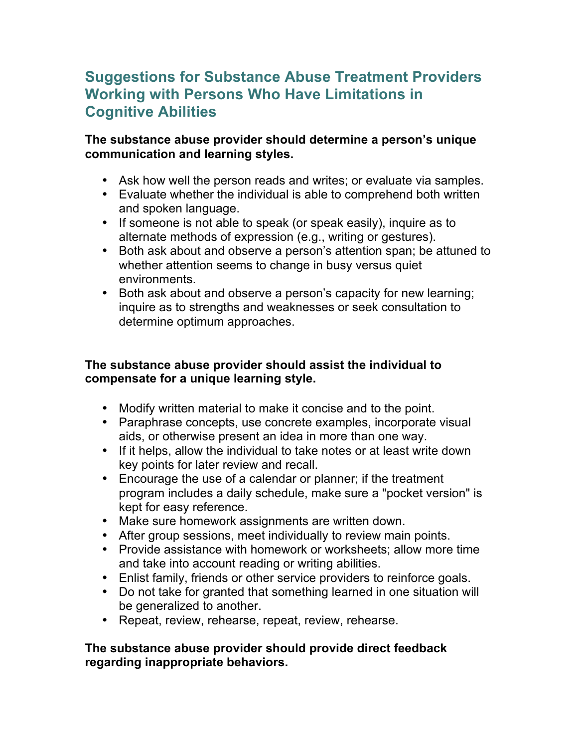# **Suggestions for Substance Abuse Treatment Providers Working with Persons Who Have Limitations in Cognitive Abilities**

### **The substance abuse provider should determine a person's unique communication and learning styles.**

- Ask how well the person reads and writes; or evaluate via samples.
- Evaluate whether the individual is able to comprehend both written and spoken language.
- If someone is not able to speak (or speak easily), inquire as to alternate methods of expression (e.g., writing or gestures).
- Both ask about and observe a person's attention span; be attuned to whether attention seems to change in busy versus quiet environments.
- Both ask about and observe a person's capacity for new learning; inquire as to strengths and weaknesses or seek consultation to determine optimum approaches.

# **The substance abuse provider should assist the individual to compensate for a unique learning style.**

- Modify written material to make it concise and to the point.
- Paraphrase concepts, use concrete examples, incorporate visual aids, or otherwise present an idea in more than one way.
- If it helps, allow the individual to take notes or at least write down key points for later review and recall.
- Encourage the use of a calendar or planner; if the treatment program includes a daily schedule, make sure a "pocket version" is kept for easy reference.
- Make sure homework assignments are written down.
- After group sessions, meet individually to review main points.
- Provide assistance with homework or worksheets; allow more time and take into account reading or writing abilities.
- Enlist family, friends or other service providers to reinforce goals.
- Do not take for granted that something learned in one situation will be generalized to another.
- Repeat, review, rehearse, repeat, review, rehearse.

## **The substance abuse provider should provide direct feedback regarding inappropriate behaviors.**